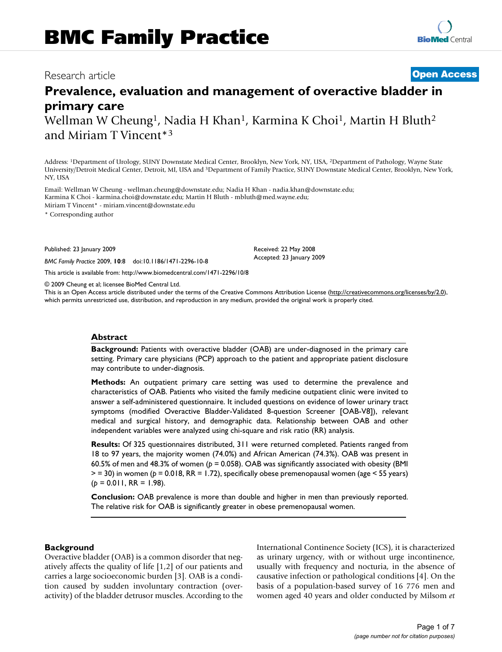# Research article **Open Access**

# **Prevalence, evaluation and management of overactive bladder in primary care**

Wellman W Cheung<sup>1</sup>, Nadia H Khan<sup>1</sup>, Karmina K Choi<sup>1</sup>, Martin H Bluth<sup>2</sup> and Miriam T Vincent\*3

Address: 1Department of Urology, SUNY Downstate Medical Center, Brooklyn, New York, NY, USA, 2Department of Pathology, Wayne State University/Detroit Medical Center, Detroit, MI, USA and 3Department of Family Practice, SUNY Downstate Medical Center, Brooklyn, New York, NY, USA

Email: Wellman W Cheung - wellman.cheung@downstate.edu; Nadia H Khan - nadia.khan@downstate.edu; Karmina K Choi - karmina.choi@downstate.edu; Martin H Bluth - mbluth@med.wayne.edu; Miriam T Vincent\* - miriam.vincent@downstate.edu

\* Corresponding author

Published: 23 January 2009

*BMC Family Practice* 2009, **10**:8 doi:10.1186/1471-2296-10-8

This article is available from: http://www.biomedcentral.com/1471-2296/10/8

© 2009 Cheung et al; licensee BioMed Central Ltd.

This is an Open Access article distributed under the terms of the Creative Commons Attribution License (http://creativecommons.org/licenses/by/2.0), which permits unrestricted use, distribution, and reproduction in any medium, provided the original work is properly cited.

Received: 22 May 2008 Accepted: 23 January 2009

## **Abstract**

**Background:** Patients with overactive bladder (OAB) are under-diagnosed in the primary care setting. Primary care physicians (PCP) approach to the patient and appropriate patient disclosure may contribute to under-diagnosis.

**Methods:** An outpatient primary care setting was used to determine the prevalence and characteristics of OAB. Patients who visited the family medicine outpatient clinic were invited to answer a self-administered questionnaire. It included questions on evidence of lower urinary tract symptoms (modified Overactive Bladder-Validated 8-question Screener [OAB-V8]), relevant medical and surgical history, and demographic data. Relationship between OAB and other independent variables were analyzed using chi-square and risk ratio (RR) analysis.

**Results:** Of 325 questionnaires distributed, 311 were returned completed. Patients ranged from 18 to 97 years, the majority women (74.0%) and African American (74.3%). OAB was present in 60.5% of men and 48.3% of women (*p* = 0.058). OAB was significantly associated with obesity (BMI > = 30) in women (*p* = 0.018, RR = 1.72), specifically obese premenopausal women (age < 55 years)  $(p = 0.011, RR = 1.98)$ .

**Conclusion:** OAB prevalence is more than double and higher in men than previously reported. The relative risk for OAB is significantly greater in obese premenopausal women.

## **Background**

Overactive bladder (OAB) is a common disorder that negatively affects the quality of life [1,2] of our patients and carries a large socioeconomic burden [3]. OAB is a condition caused by sudden involuntary contraction (overactivity) of the bladder detrusor muscles. According to the International Continence Society (ICS), it is characterized as urinary urgency, with or without urge incontinence, usually with frequency and nocturia, in the absence of causative infection or pathological conditions [4]. On the basis of a population-based survey of 16 776 men and women aged 40 years and older conducted by Milsom *et*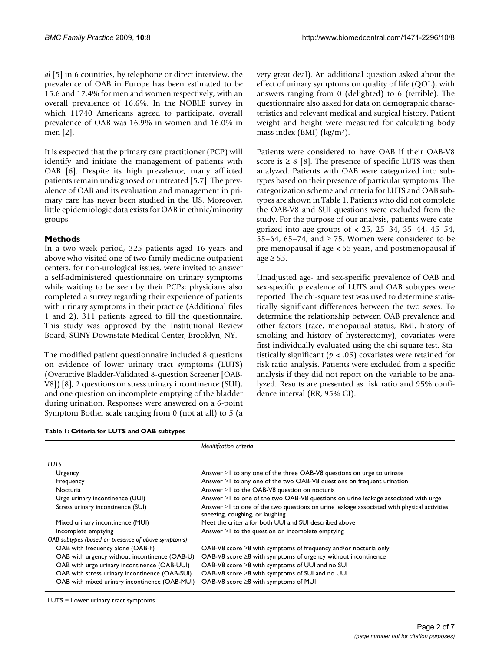*al* [5] in 6 countries, by telephone or direct interview, the prevalence of OAB in Europe has been estimated to be 15.6 and 17.4% for men and women respectively, with an overall prevalence of 16.6%. In the NOBLE survey in which 11740 Americans agreed to participate, overall prevalence of OAB was 16.9% in women and 16.0% in men [2].

It is expected that the primary care practitioner (PCP) will identify and initiate the management of patients with OAB [6]. Despite its high prevalence, many afflicted patients remain undiagnosed or untreated [5,7]. The prevalence of OAB and its evaluation and management in primary care has never been studied in the US. Moreover, little epidemiologic data exists for OAB in ethnic/minority groups.

## **Methods**

In a two week period, 325 patients aged 16 years and above who visited one of two family medicine outpatient centers, for non-urological issues, were invited to answer a self-administered questionnaire on urinary symptoms while waiting to be seen by their PCPs; physicians also completed a survey regarding their experience of patients with urinary symptoms in their practice (Additional files 1 and 2). 311 patients agreed to fill the questionnaire. This study was approved by the Institutional Review Board, SUNY Downstate Medical Center, Brooklyn, NY.

The modified patient questionnaire included 8 questions on evidence of lower urinary tract symptoms (LUTS) (Overactive Bladder-Validated 8-question Screener [OAB-V8]) [8], 2 questions on stress urinary incontinence (SUI), and one question on incomplete emptying of the bladder during urination. Responses were answered on a 6-point Symptom Bother scale ranging from 0 (not at all) to 5 (a

**Table 1: Criteria for LUTS and OAB subtypes**

very great deal). An additional question asked about the effect of urinary symptoms on quality of life (QOL), with answers ranging from 0 (delighted) to 6 (terrible). The questionnaire also asked for data on demographic characteristics and relevant medical and surgical history. Patient weight and height were measured for calculating body mass index (BMI) (kg/m2).

Patients were considered to have OAB if their OAB-V8 score is  $\geq 8$  [8]. The presence of specific LUTS was then analyzed. Patients with OAB were categorized into subtypes based on their presence of particular symptoms. The categorization scheme and criteria for LUTS and OAB subtypes are shown in Table 1. Patients who did not complete the OAB-V8 and SUI questions were excluded from the study. For the purpose of our analysis, patients were categorized into age groups of < 25, 25–34, 35–44, 45–54, 55–64, 65–74, and  $\ge$  75. Women were considered to be pre-menopausal if age < 55 years, and postmenopausal if  $age \geq 55$ .

Unadjusted age- and sex-specific prevalence of OAB and sex-specific prevalence of LUTS and OAB subtypes were reported. The chi-square test was used to determine statistically significant differences between the two sexes. To determine the relationship between OAB prevalence and other factors (race, menopausal status, BMI, history of smoking and history of hysterectomy), covariates were first individually evaluated using the chi-square test. Statistically significant (*p* < .05) covariates were retained for risk ratio analysis. Patients were excluded from a specific analysis if they did not report on the variable to be analyzed. Results are presented as risk ratio and 95% confidence interval (RR, 95% CI).

|                                                    | Idenitifcation criteria                                                                                                              |
|----------------------------------------------------|--------------------------------------------------------------------------------------------------------------------------------------|
| LUTS                                               |                                                                                                                                      |
| Urgency                                            | Answer $\geq 1$ to any one of the three OAB-V8 questions on urge to urinate                                                          |
| Frequency                                          | Answer $\geq 1$ to any one of the two OAB-V8 questions on frequent urination                                                         |
| <b>Nocturia</b>                                    | Answer $\geq$ to the OAB-V8 question on nocturia                                                                                     |
| Urge urinary incontinence (UUI)                    | Answer ≥1 to one of the two OAB-V8 questions on urine leakage associated with urge                                                   |
| Stress urinary incontinence (SUI)                  | Answer $\geq 1$ to one of the two questions on urine leakage associated with physical activities,<br>sneezing, coughing, or laughing |
| Mixed urinary incontinence (MUI)                   | Meet the criteria for both UUI and SUI described above                                                                               |
| Incomplete emptying                                | Answer $\geq 1$ to the question on incomplete emptying                                                                               |
| OAB subtypes (based on presence of above symptoms) |                                                                                                                                      |
| OAB with frequency alone (OAB-F)                   | OAB-V8 score $\geq$ 8 with symptoms of frequency and/or nocturia only                                                                |
| OAB with urgency without incontinence (OAB-U)      | $OAB-V8$ score $\geq 8$ with symptoms of urgency without incontinence                                                                |
| OAB with urge urinary incontinence (OAB-UUI)       | OAB-V8 score ≥8 with symptoms of UUI and no SUI                                                                                      |
| OAB with stress urinary incontinence (OAB-SUI)     | OAB-V8 score $\geq$ 8 with symptoms of SUI and no UUI                                                                                |
| OAB with mixed urinary incontinence (OAB-MUI)      | OAB-V8 score ≥8 with symptoms of MUI                                                                                                 |

LUTS = Lower urinary tract symptoms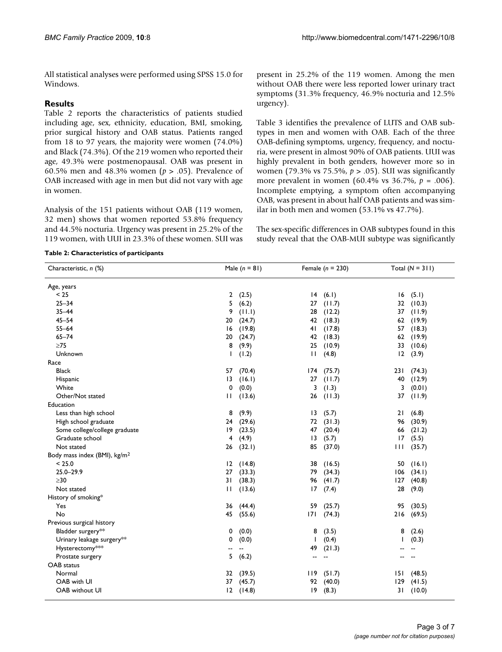All statistical analyses were performed using SPSS 15.0 for Windows.

## **Results**

Table 2 reports the characteristics of patients studied including age, sex, ethnicity, education, BMI, smoking, prior surgical history and OAB status. Patients ranged from 18 to 97 years, the majority were women (74.0%) and Black (74.3%). Of the 219 women who reported their age, 49.3% were postmenopausal. OAB was present in 60.5% men and 48.3% women (*p* > .05). Prevalence of OAB increased with age in men but did not vary with age in women.

Analysis of the 151 patients without OAB (119 women, 32 men) shows that women reported 53.8% frequency and 44.5% nocturia. Urgency was present in 25.2% of the 119 women, with UUI in 23.3% of these women. SUI was present in 25.2% of the 119 women. Among the men without OAB there were less reported lower urinary tract symptoms (31.3% frequency, 46.9% nocturia and 12.5% urgency).

Table 3 identifies the prevalence of LUTS and OAB subtypes in men and women with OAB. Each of the three OAB-defining symptoms, urgency, frequency, and nocturia, were present in almost 90% of OAB patients. UUI was highly prevalent in both genders, however more so in women (79.3% vs 75.5%, *p* > .05). SUI was significantly more prevalent in women (60.4% vs 36.7%, *p* = .006). Incomplete emptying, a symptom often accompanying OAB, was present in about half OAB patients and was similar in both men and women (53.1% vs 47.7%).

The sex-specific differences in OAB subtypes found in this study reveal that the OAB-MUI subtype was significantly

## **Table 2: Characteristics of participants**

| Characteristic, n (%)                    |                | Male $(n = 81)$ |                | Female $(n = 230)$ |     | Total $(N = 311)$ |
|------------------------------------------|----------------|-----------------|----------------|--------------------|-----|-------------------|
| Age, years                               |                |                 |                |                    |     |                   |
| < 25                                     | $\overline{2}$ | (2.5)           | 4              | (6.1)              | 16  | (5.1)             |
| $25 - 34$                                | 5              | (6.2)           | 27             | (11.7)             | 32  | (10.3)            |
| $35 - 44$                                | 9              | (11.1)          | 28             | (12.2)             | 37  | (11.9)            |
| $45 - 54$                                | 20             | (24.7)          | 42             | (18.3)             | 62  | (19.9)            |
| $55 - 64$                                | 16             | (19.8)          | 41             | (17.8)             | 57  | (18.3)            |
| $65 - 74$                                | 20             | (24.7)          | 42             | (18.3)             | 62  | (19.9)            |
| $\geq$ 75                                | 8              | (9.9)           | 25             | (10.9)             | 33  | (10.6)            |
| Unknown                                  | ı              | (1.2)           | Ш              | (4.8)              | 12  | (3.9)             |
| Race                                     |                |                 |                |                    |     |                   |
| <b>Black</b>                             | 57             | (70.4)          | 174            | (75.7)             | 231 | (74.3)            |
| Hispanic                                 | 13             | (16.1)          | 27             | (11.7)             | 40  | (12.9)            |
| White                                    | 0              | (0.0)           | 3              | (1.3)              | 3   | (0.01)            |
| Other/Not stated                         | П              | (13.6)          | 26             | (11.3)             | 37  | (11.9)            |
| Education                                |                |                 |                |                    |     |                   |
| Less than high school                    | 8              | (9.9)           | 3              | (5.7)              | 21  | (6.8)             |
| High school graduate                     | 24             | (29.6)          | 72             | (31.3)             | 96  | (30.9)            |
| Some college/college graduate            | 19             | (23.5)          | 47             | (20.4)             | 66  | (21.2)            |
| Graduate school                          | 4              | (4.9)           | 3              | (5.7)              | 17  | (5.5)             |
| Not stated                               | 26             | (32.1)          | 85             | (37.0)             | Ш   | (35.7)            |
| Body mass index (BMI), kg/m <sup>2</sup> |                |                 |                |                    |     |                   |
| < 25.0                                   | 12             | (14.8)          | 38             | (16.5)             | 50  | (16.1)            |
| $25.0 - 29.9$                            | 27             | (33.3)          | 79             | (34.3)             | 106 | (34.1)            |
| $\geq$ 30                                | 31             | (38.3)          | 96             | (41.7)             | 127 | (40.8)            |
| Not stated                               | Ħ              | (13.6)          | 17             | (7.4)              | 28  | (9.0)             |
| History of smoking*                      |                |                 |                |                    |     |                   |
| Yes                                      | 36             | (44.4)          | 59             | (25.7)             | 95  | (30.5)            |
| No                                       | 45             | (55.6)          | 7              | (74.3)             | 216 | (69.5)            |
| Previous surgical history                |                |                 |                |                    |     |                   |
| Bladder surgery**                        | 0              | (0.0)           | 8              | (3.5)              | 8   | (2.6)             |
| Urinary leakage surgery**                | 0              | (0.0)           | $\mathbf{I}$   | (0.4)              | ı   | (0.3)             |
| Hysterectomy***                          | --             |                 | 49             | (21.3)             |     |                   |
| Prostate surgery                         | 5              | (6.2)           | $\overline{a}$ |                    |     |                   |
| OAB status                               |                |                 |                |                    |     |                   |
| Normal                                   | 32             | (39.5)          | 119            | (51.7)             | 151 | (48.5)            |
| OAB with UI                              | 37             | (45.7)          | 92             | (40.0)             | 129 | (41.5)            |
| OAB without UI                           | 12             | (14.8)          | 9              | (8.3)              | 31  | (10.0)            |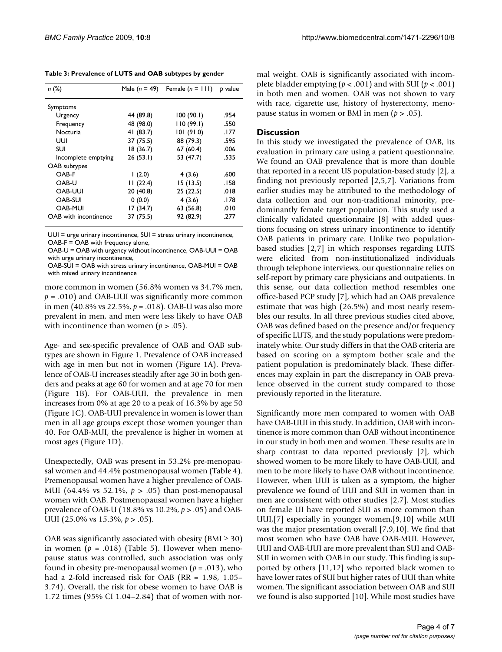**Table 3: Prevalence of LUTS and OAB subtypes by gender**

| n(%)                  | Male $(n = 49)$ | Female $(n = 111)$ | b value |
|-----------------------|-----------------|--------------------|---------|
| Symptoms              |                 |                    |         |
| Urgency               | 44 (89.8)       | 100(90.1)          | .954    |
| Frequency             | 48 (98.0)       | 110(99.1)          | .550    |
| Nocturia              | 41 (83.7)       | 101(91.0)          | .177    |
| UUI                   | 37 (75.5)       | 88 (79.3)          | .595    |
| SUI                   | 18(36.7)        | 67(60.4)           | .006    |
| Incomplete emptying   | 26(53.1)        | 53 (47.7)          | .535    |
| OAB subtypes          |                 |                    |         |
| OAB-F                 | (2.0)           | 4(3.6)             | .600    |
| OAB-U                 | 11(22.4)        | 15(13.5)           | . I 58  |
| <b>OAB-UUI</b>        | 20(40.8)        | 25 (22.5)          | .018    |
| OAB-SUI               | 0(0.0)          | 4(3.6)             | .178    |
| <b>OAB-MUI</b>        | 17 (34.7)       | 63 (56.8)          | .010    |
| OAB with incontinence | 37 (75.5)       | 92 (82.9)          | .277    |

UUI = urge urinary incontinence, SUI = stress urinary incontinence, OAB-F = OAB with frequency alone,

OAB-U = OAB with urgency without incontinence, OAB-UUI = OAB with urge urinary incontinence,

OAB-SUI = OAB with stress urinary incontinence, OAB-MUI = OAB with mixed urinary incontinence

more common in women (56.8% women vs 34.7% men,  $p = .010$ ) and OAB-UUI was significantly more common in men (40.8% vs 22.5%, *p* = .018). OAB-U was also more prevalent in men, and men were less likely to have OAB with incontinence than women  $(p > .05)$ .

Age- and sex-specific prevalence of OAB and OAB subtypes are shown in Figure 1. Prevalence of OAB increased with age in men but not in women (Figure 1A). Prevalence of OAB-U increases steadily after age 30 in both genders and peaks at age 60 for women and at age 70 for men (Figure 1B). For OAB-UUI, the prevalence in men increases from 0% at age 20 to a peak of 16.3% by age 50 (Figure 1C). OAB-UUI prevalence in women is lower than men in all age groups except those women younger than 40. For OAB-MUI, the prevalence is higher in women at most ages (Figure 1D).

Unexpectedly, OAB was present in 53.2% pre-menopausal women and 44.4% postmenopausal women (Table 4). Premenopausal women have a higher prevalence of OAB-MUI (64.4% vs 52.1%, *p* > .05) than post-menopausal women with OAB. Postmenopausal women have a higher prevalence of OAB-U (18.8% vs 10.2%, *p* > .05) and OAB-UUI (25.0% vs 15.3%, *p* > .05).

OAB was significantly associated with obesity ( $BMI \geq 30$ ) in women ( $p = .018$ ) (Table 5). However when menopause status was controlled, such association was only found in obesity pre-menopausal women  $(p = .013)$ , who had a 2-fold increased risk for OAB (RR = 1.98, 1.05– 3.74). Overall, the risk for obese women to have OAB is 1.72 times (95% CI 1.04–2.84) that of women with normal weight. OAB is significantly associated with incomplete bladder emptying (*p* < .001) and with SUI (*p* < .001) in both men and women. OAB was not shown to vary with race, cigarette use, history of hysterectomy, menopause status in women or BMI in men (*p* > .05).

## **Discussion**

In this study we investigated the prevalence of OAB, its evaluation in primary care using a patient questionnaire. We found an OAB prevalence that is more than double that reported in a recent US population-based study [2], a finding not previously reported [2,5,7]. Variations from earlier studies may be attributed to the methodology of data collection and our non-traditional minority, predominantly female target population. This study used a clinically validated questionnaire [8] with added questions focusing on stress urinary incontinence to identify OAB patients in primary care. Unlike two populationbased studies [2,7] in which responses regarding LUTS were elicited from non-institutionalized individuals through telephone interviews, our questionnaire relies on self-report by primary care physicians and outpatients. In this sense, our data collection method resembles one office-based PCP study [7], which had an OAB prevalence estimate that was high (26.5%) and most nearly resembles our results. In all three previous studies cited above, OAB was defined based on the presence and/or frequency of specific LUTS, and the study populations were predominately white. Our study differs in that the OAB criteria are based on scoring on a symptom bother scale and the patient population is predominately black. These differences may explain in part the discrepancy in OAB prevalence observed in the current study compared to those previously reported in the literature.

Significantly more men compared to women with OAB have OAB-UUI in this study. In addition, OAB with incontinence is more common than OAB without incontinence in our study in both men and women. These results are in sharp contrast to data reported previously [2], which showed women to be more likely to have OAB-UUI, and men to be more likely to have OAB without incontinence. However, when UUI is taken as a symptom, the higher prevalence we found of UUI and SUI in women than in men are consistent with other studies [2,7]. Most studies on female UI have reported SUI as more common than UUI,[7] especially in younger women,[9,10] while MUI was the major presentation overall [7,9,10]. We find that most women who have OAB have OAB-MUI. However, UUI and OAB-UUI are more prevalent than SUI and OAB-SUI in women with OAB in our study. This finding is supported by others [11,12] who reported black women to have lower rates of SUI but higher rates of UUI than white women. The significant association between OAB and SUI we found is also supported [10]. While most studies have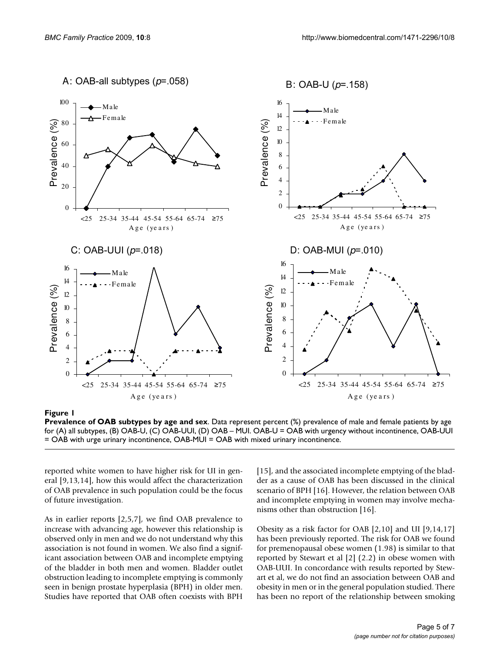

## **Figure 1**

**Prevalence of OAB subtypes by age and sex**. Data represent percent (%) prevalence of male and female patients by age for (A) all subtypes, (B) OAB-U, (C) OAB-UUI, (D) OAB – MUI. OAB-U = OAB with urgency without incontinence, OAB-UUI = OAB with urge urinary incontinence, OAB-MUI = OAB with mixed urinary incontinence.

reported white women to have higher risk for UI in general [9,13,14], how this would affect the characterization of OAB prevalence in such population could be the focus of future investigation.

As in earlier reports [2,5,7], we find OAB prevalence to increase with advancing age, however this relationship is observed only in men and we do not understand why this association is not found in women. We also find a significant association between OAB and incomplete emptying of the bladder in both men and women. Bladder outlet obstruction leading to incomplete emptying is commonly seen in benign prostate hyperplasia (BPH) in older men. Studies have reported that OAB often coexists with BPH

[15], and the associated incomplete emptying of the bladder as a cause of OAB has been discussed in the clinical scenario of BPH [16]. However, the relation between OAB and incomplete emptying in women may involve mechanisms other than obstruction [16].

Obesity as a risk factor for OAB [2,10] and UI [9,14,17] has been previously reported. The risk for OAB we found for premenopausal obese women (1.98) is similar to that reported by Stewart et al [2] (2.2) in obese women with OAB-UUI. In concordance with results reported by Stewart et al, we do not find an association between OAB and obesity in men or in the general population studied. There has been no report of the relationship between smoking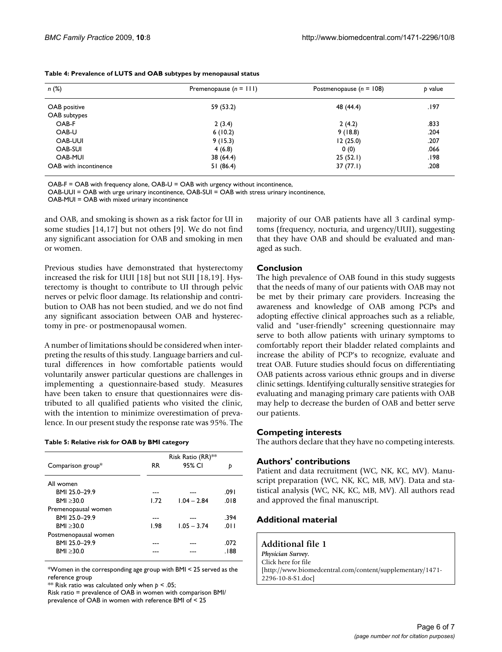| n(%)                  | Premenopause $(n = 111)$ | Postmenopause ( $n = 108$ ) | b value |
|-----------------------|--------------------------|-----------------------------|---------|
| OAB positive          | 59 (53.2)                | 48 (44.4)                   | .197    |
| OAB subtypes          |                          |                             |         |
| OAB-F                 | 2(3.4)                   | 2(4.2)                      | .833    |
| OAB-U                 | 6(10.2)                  | 9(18.8)                     | .204    |
| <b>OAB-UUI</b>        | 9(15.3)                  | 12(25.0)                    | .207    |
| OAB-SUI               | 4(6.8)                   | 0(0)                        | .066    |
| OAB-MUI               | 38 (64.4)                | 25(52.1)                    | 198.    |
| OAB with incontinence | 51(86.4)                 | 37(77.1)                    | .208    |

OAB-F = OAB with frequency alone, OAB-U = OAB with urgency without incontinence,

OAB-UUI = OAB with urge urinary incontinence, OAB-SUI = OAB with stress urinary incontinence,

OAB-MUI = OAB with mixed urinary incontinence

and OAB, and smoking is shown as a risk factor for UI in some studies [14,17] but not others [9]. We do not find any significant association for OAB and smoking in men or women.

Previous studies have demonstrated that hysterectomy increased the risk for UUI [18] but not SUI [18,19]. Hysterectomy is thought to contribute to UI through pelvic nerves or pelvic floor damage. Its relationship and contribution to OAB has not been studied, and we do not find any significant association between OAB and hysterectomy in pre- or postmenopausal women.

A number of limitations should be considered when interpreting the results of this study. Language barriers and cultural differences in how comfortable patients would voluntarily answer particular questions are challenges in implementing a questionnaire-based study. Measures have been taken to ensure that questionnaires were distributed to all qualified patients who visited the clinic, with the intention to minimize overestimation of prevalence. In our present study the response rate was 95%. The

#### **Table 5: Relative risk for OAB by BMI category**

|                      | Risk Ratio (RR) <sup>**</sup> |               |        |
|----------------------|-------------------------------|---------------|--------|
| Comparison group*    | RR.                           | 95% CI        | b      |
| All women            |                               |               |        |
| BMI 25.0-29.9        |                               |               | .091   |
| BMI > 30.0           | 1.72                          | $1.04 - 2.84$ | .018   |
| Premenopausal women  |                               |               |        |
| BMI 25.0-29.9        |                               |               | .394   |
| BMI > 30.0           | 1.98                          | $1.05 - 3.74$ | .011   |
| Postmenopausal women |                               |               |        |
| BMI 25.0-29.9        |                               |               | .072   |
| BMI > 30.0           |                               |               | . I 88 |
|                      |                               |               |        |

\*Women in the corresponding age group with BMI < 25 served as the reference group

\*\* Risk ratio was calculated only when *p* < .05;

Risk ratio = prevalence of OAB in women with comparison BMI/ prevalence of OAB in women with reference BMI of < 25

majority of our OAB patients have all 3 cardinal symptoms (frequency, nocturia, and urgency/UUI), suggesting that they have OAB and should be evaluated and managed as such.

## **Conclusion**

The high prevalence of OAB found in this study suggests that the needs of many of our patients with OAB may not be met by their primary care providers. Increasing the awareness and knowledge of OAB among PCPs and adopting effective clinical approaches such as a reliable, valid and "user-friendly" screening questionnaire may serve to both allow patients with urinary symptoms to comfortably report their bladder related complaints and increase the ability of PCP's to recognize, evaluate and treat OAB. Future studies should focus on differentiating OAB patients across various ethnic groups and in diverse clinic settings. Identifying culturally sensitive strategies for evaluating and managing primary care patients with OAB may help to decrease the burden of OAB and better serve our patients.

## **Competing interests**

The authors declare that they have no competing interests.

## **Authors' contributions**

Patient and data recruitment (WC, NK, KC, MV). Manuscript preparation (WC, NK, KC, MB, MV). Data and statistical analysis (WC, NK, KC, MB, MV). All authors read and approved the final manuscript.

## **Additional material**

**Additional file 1** *Physician Survey.* Click here for file [http://www.biomedcentral.com/content/supplementary/1471- 2296-10-8-S1.doc]